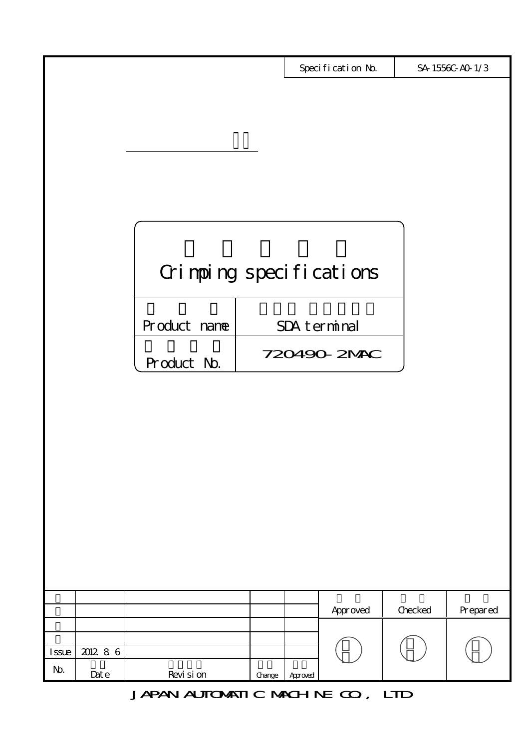|       |                   |                         |        |         | Specification No. |         | SA 1556C-AO 1/3 |
|-------|-------------------|-------------------------|--------|---------|-------------------|---------|-----------------|
|       |                   |                         |        |         |                   |         |                 |
|       |                   |                         |        |         |                   |         |                 |
|       |                   |                         |        |         |                   |         |                 |
|       |                   |                         |        |         |                   |         |                 |
|       |                   |                         |        |         |                   |         |                 |
|       |                   |                         |        |         |                   |         |                 |
|       |                   |                         |        |         |                   |         |                 |
|       |                   |                         |        |         |                   |         |                 |
|       |                   |                         |        |         |                   |         |                 |
|       |                   |                         |        |         |                   |         |                 |
|       |                   | Grimping specifications |        |         |                   |         |                 |
|       |                   |                         |        |         |                   |         |                 |
|       |                   |                         |        |         |                   |         |                 |
|       |                   | Product name            |        |         | SDA terminal      |         |                 |
|       |                   |                         |        |         |                   |         |                 |
|       |                   | Product No.             |        |         | 720490-2MAC       |         |                 |
|       |                   |                         |        |         |                   |         |                 |
|       |                   |                         |        |         |                   |         |                 |
|       |                   |                         |        |         |                   |         |                 |
|       |                   |                         |        |         |                   |         |                 |
|       |                   |                         |        |         |                   |         |                 |
|       |                   |                         |        |         |                   |         |                 |
|       |                   |                         |        |         |                   |         |                 |
|       |                   |                         |        |         |                   |         |                 |
|       |                   |                         |        |         |                   |         |                 |
|       |                   |                         |        |         |                   |         |                 |
|       |                   |                         |        |         |                   |         |                 |
|       |                   |                         |        |         |                   |         |                 |
|       |                   |                         |        |         |                   |         |                 |
|       |                   |                         |        |         | Approved          | Checked | Prepared        |
|       |                   |                         |        |         |                   |         |                 |
| Issue | $2012$ 86         |                         |        |         |                   |         |                 |
| No.   |                   |                         |        |         |                   |         |                 |
|       | $_{\text{Det}}$ e | Revi si on              | Change | Aproved |                   |         |                 |

JAPAN AUTOMATIC MACHINE CO., LTD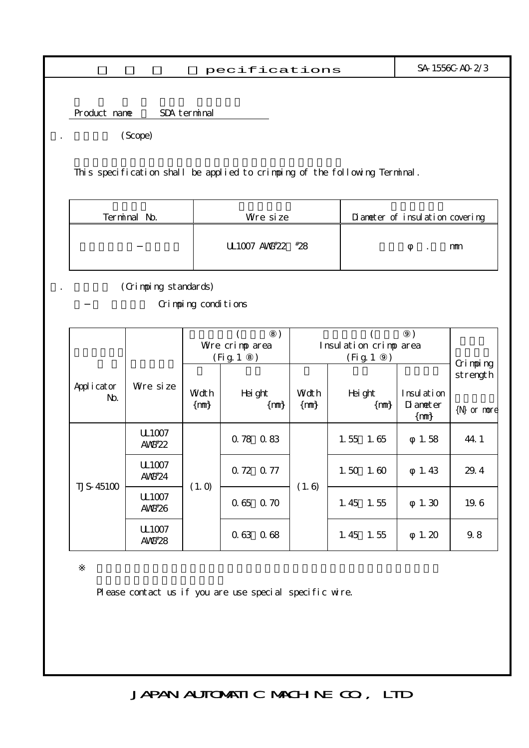$\texttt{pecifications}$  SA-1556C-A0-2/3

Product name SDA terminal

(Scope)

This specification shall be applied to crimping of the following Terminal.

| Terminal No. | Wre size         | Diameter of insulation covering |
|--------------|------------------|---------------------------------|
|              | UL1007 AW#22 #28 | mm                              |

(Crimping standards)

Grimping conditions

|                      |                                         | Wre crimp area<br>(Fig. 1) |                  | Insulation crimp area<br>(Fig. 1) |                    |                                 |                                         |
|----------------------|-----------------------------------------|----------------------------|------------------|-----------------------------------|--------------------|---------------------------------|-----------------------------------------|
| Appl i cat or<br>No. | Wre size                                | Wdt h<br>$\{m\}$           | Hei ght<br>[ mm) | Wdt h<br>$\{rm m}\}$              | Hei ght<br>$\{m\}$ | Insulation<br>$\Omega$ and $er$ | Crimping<br>strength<br>$\{N\}$ or nore |
|                      | U <sub>1007</sub><br>AV $K^*22$         |                            | 0.78 0.83        |                                   | $1.55$ $1.65$      | $\{m\}$<br>1.58                 | 44.1                                    |
|                      | U <sub>1007</sub><br>AWF24              |                            | 0.72 0.77        |                                   | $1.50$ $1.60$      | 1.43                            | 29.4                                    |
| <b>TJS-45100</b>     | (1.0)<br>U <sub>1007</sub><br>AV $K#26$ | 0.65<br>0.70               | (1.6)            | 1.45<br>1.55                      | 1.30               | 19.6                            |                                         |
|                      | U <sub>1007</sub><br>$AWF*28$           |                            | 0.63 0.68        |                                   | 1.45<br>1.55       | 1.20                            | 9.8                                     |

Please contact us if you are use special specific wire.